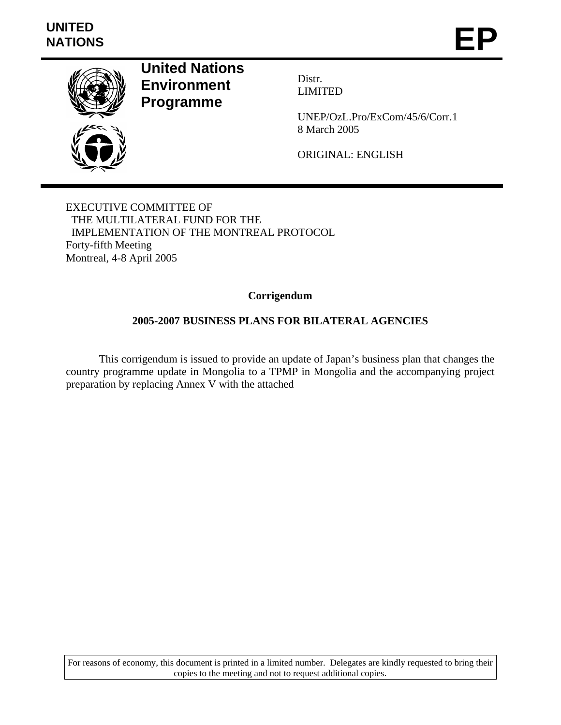

**United Nations Environment Programme** 

Distr. LIMITED

UNEP/OzL.Pro/ExCom/45/6/Corr.1 8 March 2005

ORIGINAL: ENGLISH

EXECUTIVE COMMITTEE OF THE MULTILATERAL FUND FOR THE IMPLEMENTATION OF THE MONTREAL PROTOCOL Forty-fifth Meeting Montreal, 4-8 April 2005

# **Corrigendum**

# **2005-2007 BUSINESS PLANS FOR BILATERAL AGENCIES**

 This corrigendum is issued to provide an update of Japan's business plan that changes the country programme update in Mongolia to a TPMP in Mongolia and the accompanying project preparation by replacing Annex V with the attached

For reasons of economy, this document is printed in a limited number. Delegates are kindly requested to bring their copies to the meeting and not to request additional copies.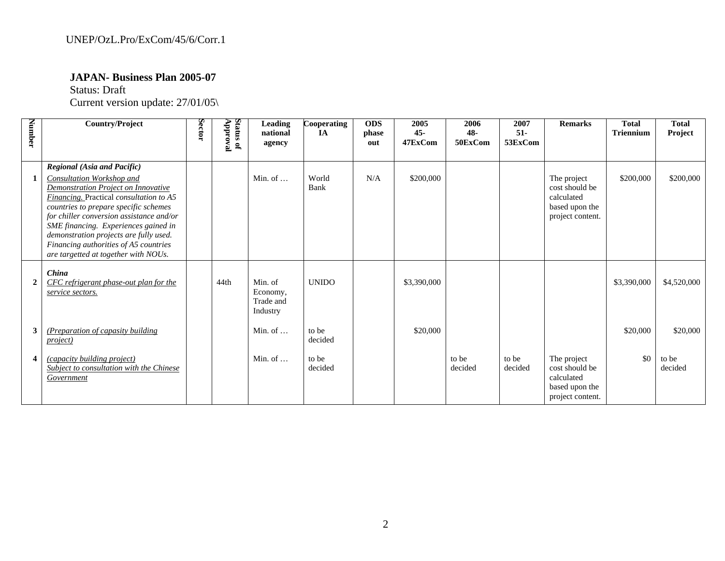### UNEP/OzL.Pro/ExCom/45/6/Corr.1

#### **JAPAN- Business Plan 2005-07**

Status: Draft

Current version update: 27/01/05\

| Number         | <b>Country/Project</b>                                                                                                                                                                                                                                                                                                                                                                                    | Sector | Status<br>provald<br>$\mathbf{a}$ | <b>Leading</b><br>national<br>agency         | Cooperating<br>IA | <b>ODS</b><br>phase<br>out | 2005<br>$45 -$<br>47ExCom | 2006<br>48-<br>50ExCom | 2007<br>$51-$<br>53ExCom | <b>Remarks</b>                                                                    | <b>Total</b><br><b>Triennium</b> | <b>Total</b><br>Project |
|----------------|-----------------------------------------------------------------------------------------------------------------------------------------------------------------------------------------------------------------------------------------------------------------------------------------------------------------------------------------------------------------------------------------------------------|--------|-----------------------------------|----------------------------------------------|-------------------|----------------------------|---------------------------|------------------------|--------------------------|-----------------------------------------------------------------------------------|----------------------------------|-------------------------|
|                | Regional (Asia and Pacific)<br>Consultation Workshop and<br><b>Demonstration Project on Innovative</b><br>Financing. Practical consultation to A5<br>countries to prepare specific schemes<br>for chiller conversion assistance and/or<br>SME financing. Experiences gained in<br>demonstration projects are fully used.<br>Financing authorities of A5 countries<br>are targetted at together with NOUs. |        |                                   | Min. of $\dots$                              | World<br>Bank     | N/A                        | \$200,000                 |                        |                          | The project<br>cost should be<br>calculated<br>based upon the<br>project content. | \$200,000                        | \$200,000               |
| $\overline{2}$ | China<br>CFC refrigerant phase-out plan for the<br>service sectors.                                                                                                                                                                                                                                                                                                                                       |        | 44th                              | Min. of<br>Economy,<br>Trade and<br>Industry | <b>UNIDO</b>      |                            | \$3,390,000               |                        |                          |                                                                                   | \$3,390,000                      | \$4,520,000             |
| 3              | (Preparation of capasity building<br><i>project</i> )                                                                                                                                                                                                                                                                                                                                                     |        |                                   | Min. of $\dots$                              | to be<br>decided  |                            | \$20,000                  |                        |                          |                                                                                   | \$20,000                         | \$20,000                |
| 4              | (capacity building project)<br>Subject to consultation with the Chinese<br>Government                                                                                                                                                                                                                                                                                                                     |        |                                   | Min. of $\dots$                              | to be<br>decided  |                            |                           | to be<br>decided       | to be<br>decided         | The project<br>cost should be<br>calculated<br>based upon the<br>project content. | \$0                              | to be<br>decided        |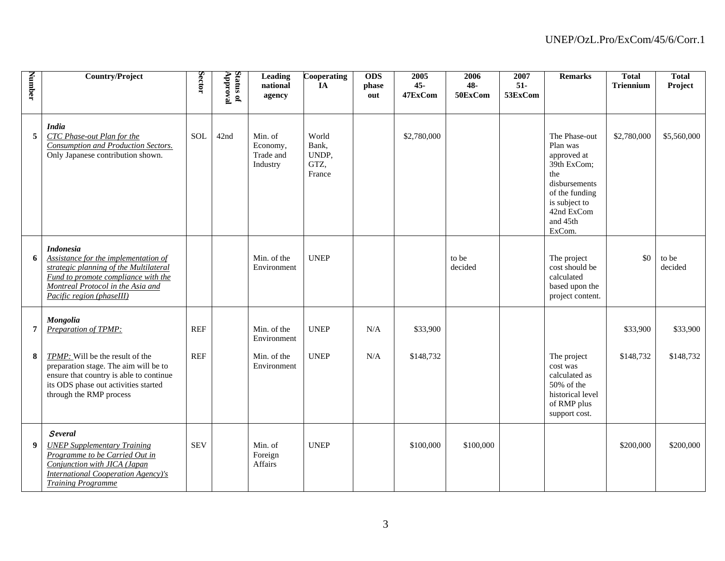| Number           | <b>Country/Project</b>                                                                                                                                                                                      | <b>Sector</b> | <b>Status of</b><br>[PAOAddy] | <b>Leading</b><br>national<br>agency         | Cooperating<br>IA                         | <b>ODS</b><br>phase<br>out | 2005<br>$45 -$<br>47ExCom | 2006<br>48-<br>50ExCom | 2007<br>$51-$<br>53ExCom | <b>Remarks</b>                                                                                                                                         | <b>Total</b><br><b>Triennium</b> | <b>Total</b><br>Project |
|------------------|-------------------------------------------------------------------------------------------------------------------------------------------------------------------------------------------------------------|---------------|-------------------------------|----------------------------------------------|-------------------------------------------|----------------------------|---------------------------|------------------------|--------------------------|--------------------------------------------------------------------------------------------------------------------------------------------------------|----------------------------------|-------------------------|
| 5                | <b>India</b><br><b>CTC Phase-out Plan for the</b><br><b>Consumption and Production Sectors.</b><br>Only Japanese contribution shown.                                                                        | <b>SOL</b>    | 42nd                          | Min. of<br>Economy,<br>Trade and<br>Industry | World<br>Bank.<br>UNDP,<br>GTZ,<br>France |                            | \$2,780,000               |                        |                          | The Phase-out<br>Plan was<br>approved at<br>39th ExCom;<br>the<br>disbursements<br>of the funding<br>is subject to<br>42nd ExCom<br>and 45th<br>ExCom. | \$2,780,000                      | \$5,560,000             |
| 6                | <b>Indonesia</b><br>Assistance for the implementation of<br>strategic planning of the Multilateral<br>Fund to promote compliance with the<br>Montreal Protocol in the Asia and<br>Pacific region (phaseIII) |               |                               | Min. of the<br>Environment                   | <b>UNEP</b>                               |                            |                           | to be<br>decided       |                          | The project<br>cost should be<br>calculated<br>based upon the<br>project content.                                                                      | \$0                              | to be<br>decided        |
| 7                | <b>Mongolia</b><br>Preparation of TPMP:                                                                                                                                                                     | <b>REF</b>    |                               | Min. of the<br>Environment                   | <b>UNEP</b>                               | N/A                        | \$33,900                  |                        |                          |                                                                                                                                                        | \$33,900                         | \$33,900                |
| 8                | TPMP: Will be the result of the<br>preparation stage. The aim will be to<br>ensure that country is able to continue<br>its ODS phase out activities started<br>through the RMP process                      | <b>REF</b>    |                               | Min. of the<br>Environment                   | <b>UNEP</b>                               | N/A                        | \$148,732                 |                        |                          | The project<br>cost was<br>calculated as<br>50% of the<br>historical level<br>of RMP plus<br>support cost.                                             | \$148,732                        | \$148,732               |
| $\boldsymbol{9}$ | <b>Several</b><br><b>UNEP</b> Supplementary Training<br>Programme to be Carried Out in<br>Conjunction with JICA (Japan<br><b>International Cooperation Agency)'s</b><br><b>Training Programme</b>           | <b>SEV</b>    |                               | Min. of<br>Foreign<br>Affairs                | <b>UNEP</b>                               |                            | \$100,000                 | \$100,000              |                          |                                                                                                                                                        | \$200,000                        | \$200,000               |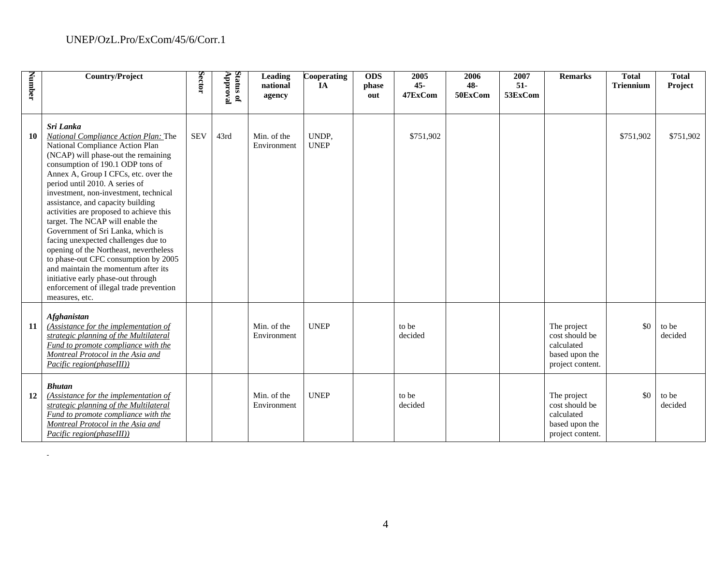### UNEP/OzL.Pro/ExCom/45/6/Corr.1

 $\sim$ 

| <b>Number</b> | <b>Country/Project</b>                                                                                                                                                                                                                                                                                                                                                                                                                                                                                                                                                                                                                                                                                         | <b>Sector</b> | Status of<br>proval | <b>Leading</b><br>national | Cooperating<br><b>IA</b> | <b>ODS</b><br>phase | 2005<br>$45 -$   | 2006<br>48- | 2007<br>$51-$ | <b>Remarks</b>                                                                    | <b>Total</b><br><b>Triennium</b> | <b>Total</b><br>Project |
|---------------|----------------------------------------------------------------------------------------------------------------------------------------------------------------------------------------------------------------------------------------------------------------------------------------------------------------------------------------------------------------------------------------------------------------------------------------------------------------------------------------------------------------------------------------------------------------------------------------------------------------------------------------------------------------------------------------------------------------|---------------|---------------------|----------------------------|--------------------------|---------------------|------------------|-------------|---------------|-----------------------------------------------------------------------------------|----------------------------------|-------------------------|
|               |                                                                                                                                                                                                                                                                                                                                                                                                                                                                                                                                                                                                                                                                                                                |               |                     | agency                     |                          | out                 | 47ExCom          | 50ExCom     | 53ExCom       |                                                                                   |                                  |                         |
| <b>10</b>     | Sri Lanka<br>National Compliance Action Plan: The<br>National Compliance Action Plan<br>(NCAP) will phase-out the remaining<br>consumption of 190.1 ODP tons of<br>Annex A, Group I CFCs, etc. over the<br>period until 2010. A series of<br>investment, non-investment, technical<br>assistance, and capacity building<br>activities are proposed to achieve this<br>target. The NCAP will enable the<br>Government of Sri Lanka, which is<br>facing unexpected challenges due to<br>opening of the Northeast, nevertheless<br>to phase-out CFC consumption by 2005<br>and maintain the momentum after its<br>initiative early phase-out through<br>enforcement of illegal trade prevention<br>measures, etc. | <b>SEV</b>    | 43rd                | Min. of the<br>Environment | UNDP,<br><b>UNEP</b>     |                     | \$751,902        |             |               |                                                                                   | \$751,902                        | \$751,902               |
| 11            | <b>Afghanistan</b><br>(Assistance for the implementation of<br>strategic planning of the Multilateral<br>Fund to promote compliance with the<br>Montreal Protocol in the Asia and<br>Pacific region(phaseIII))                                                                                                                                                                                                                                                                                                                                                                                                                                                                                                 |               |                     | Min. of the<br>Environment | <b>UNEP</b>              |                     | to be<br>decided |             |               | The project<br>cost should be<br>calculated<br>based upon the<br>project content. | \$0                              | to be<br>decided        |
| 12            | <b>Bhutan</b><br>(Assistance for the implementation of<br>strategic planning of the Multilateral<br>Fund to promote compliance with the<br>Montreal Protocol in the Asia and<br>Pacific region(phaseIII))                                                                                                                                                                                                                                                                                                                                                                                                                                                                                                      |               |                     | Min. of the<br>Environment | <b>UNEP</b>              |                     | to be<br>decided |             |               | The project<br>cost should be<br>calculated<br>based upon the<br>project content. | \$0                              | to be<br>decided        |